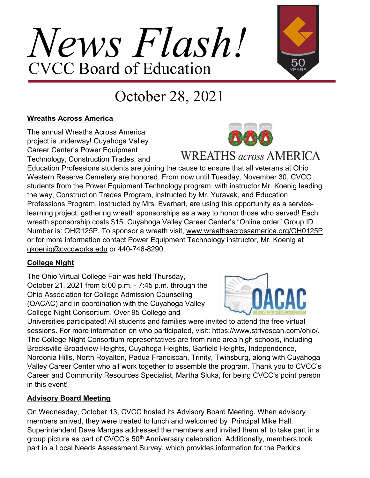# *News Flash!* CVCC Board of Education



### October 28, 2021

#### **Wreaths Across America**

The annual Wreaths Across America project is underway! Cuyahoga Valley Career Center's Power Equipment Technology, Construction Trades, and



### **WREATHS** across AMERICA

Education Professions students are joining the cause to ensure that all veterans at Ohio Western Reserve Cemetery are honored. From now until Tuesday, November 30, CVCC students from the Power Equipment Technology program, with instructor Mr. Koenig leading the way, Construction Trades Program, instructed by Mr. Yuravak, and Education Professions Program, instructed by Mrs. Everhart, are using this opportunity as a servicelearning project, gathering wreath sponsorships as a way to honor those who served! Each wreath sponsorship costs \$15. Cuyahoga Valley Career Center's "Online order" Group ID Number is: OHØ125P. To sponsor a wreath visit, www.wreathsacrossamerica.org/OH0125P or for more information contact Power Equipment Technology instructor, Mr. Koenig at gkoenig@cvccworks.edu or 440-746-8290.

#### **College Night**

The Ohio Virtual College Fair was held Thursday, October 21, 2021 from 5:00 p.m. - 7:45 p.m. through the Ohio Association for College Admission Counseling (OACAC) and in coordination with the Cuyahoga Valley College Night Consortium. Over 95 College and

Universities participated! All students and families were invited to attend the free virtual sessions. For more information on who participated, visit: https://www.strivescan.com/ohio/. The College Night Consortium representatives are from nine area high schools, including Brecksville-Broadview Heights, Cuyahoga Heights, Garfield Heights, Independence, Nordonia Hills, North Royalton, Padua Franciscan, Trinity, Twinsburg, along with Cuyahoga Valley Career Center who all work together to assemble the program. Thank you to CVCC's Career and Community Resources Specialist, Martha Sluka, for being CVCC's point person in this event!

#### **Advisory Board Meeting**

On Wednesday, October 13, CVCC hosted its Advisory Board Meeting. When advisory members arrived, they were treated to lunch and welcomed by Principal Mike Hall. Superintendent Dave Mangas addressed the members and invited them all to take part in a group picture as part of CVCC's 50<sup>th</sup> Anniversary celebration. Additionally, members took part in a Local Needs Assessment Survey, which provides information for the Perkins

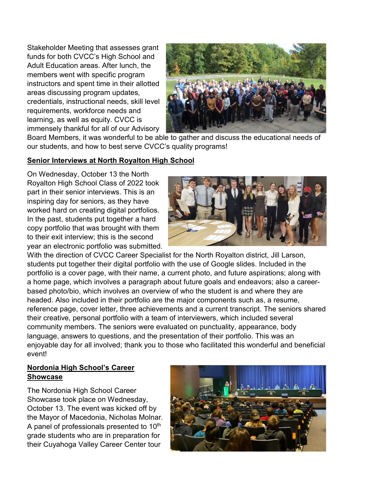Stakeholder Meeting that assesses grant funds for both CVCC's High School and Adult Education areas. After lunch, the members went with specific program instructors and spent time in their allotted areas discussing program updates, credentials, instructional needs, skill level requirements, workforce needs and learning, as well as equity. CVCC is immensely thankful for all of our Advisory



Board Members, it was wonderful to be able to gather and discuss the educational needs of our students, and how to best serve CVCC's quality programs!

#### **Senior Interviews at North Royalton High School**

On Wednesday, October 13 the North Royalton High School Class of 2022 took part in their senior interviews. This is an inspiring day for seniors, as they have worked hard on creating digital portfolios. In the past, students put together a hard copy portfolio that was brought with them to their exit interview; this is the second year an electronic portfolio was submitted.



With the direction of CVCC Career Specialist for the North Royalton district, Jill Larson, students put together their digital portfolio with the use of Google slides. Included in the portfolio is a cover page, with their name, a current photo, and future aspirations; along with a home page, which involves a paragraph about future goals and endeavors; also a careerbased photo/bio, which involves an overview of who the student is and where they are headed. Also included in their portfolio are the major components such as, a resume, reference page, cover letter, three achievements and a current transcript. The seniors shared their creative, personal portfolio with a team of interviewers, which included several community members. The seniors were evaluated on punctuality, appearance, body language, answers to questions, and the presentation of their portfolio. This was an enjoyable day for all involved; thank you to those who facilitated this wonderful and beneficial event!

#### **Nordonia High School's Career Showcase**

The Nordonia High School Career Showcase took place on Wednesday, October 13. The event was kicked off by the Mayor of Macedonia, Nicholas Molnar. A panel of professionals presented to 10<sup>th</sup> grade students who are in preparation for their Cuyahoga Valley Career Center tour

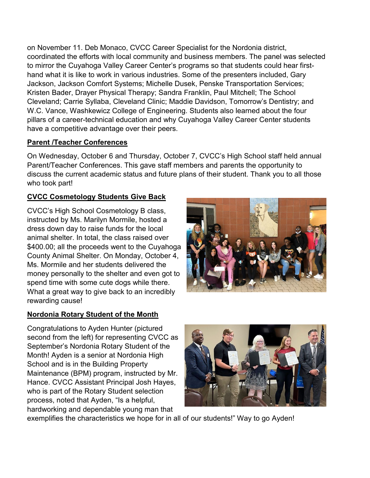on November 11. Deb Monaco, CVCC Career Specialist for the Nordonia district, coordinated the efforts with local community and business members. The panel was selected to mirror the Cuyahoga Valley Career Center's programs so that students could hear firsthand what it is like to work in various industries. Some of the presenters included, Gary Jackson, Jackson Comfort Systems; Michelle Dusek, Penske Transportation Services; Kristen Bader, Drayer Physical Therapy; Sandra Franklin, Paul Mitchell; The School Cleveland; Carrie Syllaba, Cleveland Clinic; Maddie Davidson, Tomorrow's Dentistry; and W.C. Vance, Washkewicz College of Engineering. Students also learned about the four pillars of a career-technical education and why Cuyahoga Valley Career Center students have a competitive advantage over their peers.

#### **Parent /Teacher Conferences**

On Wednesday, October 6 and Thursday, October 7, CVCC's High School staff held annual Parent/Teacher Conferences. This gave staff members and parents the opportunity to discuss the current academic status and future plans of their student. Thank you to all those who took part!

#### **CVCC Cosmetology Students Give Back**

CVCC's High School Cosmetology B class, instructed by Ms. Marilyn Mormile, hosted a dress down day to raise funds for the local animal shelter. In total, the class raised over \$400.00; all the proceeds went to the Cuyahoga County Animal Shelter. On Monday, October 4, Ms. Mormile and her students delivered the money personally to the shelter and even got to spend time with some cute dogs while there. What a great way to give back to an incredibly rewarding cause!

#### **Nordonia Rotary Student of the Month**

Congratulations to Ayden Hunter (pictured second from the left) for representing CVCC as September's Nordonia Rotary Student of the Month! Ayden is a senior at Nordonia High School and is in the Building Property Maintenance (BPM) program, instructed by Mr. Hance. CVCC Assistant Principal Josh Hayes, who is part of the Rotary Student selection process, noted that Ayden, "Is a helpful, hardworking and dependable young man that



exemplifies the characteristics we hope for in all of our students!" Way to go Ayden!